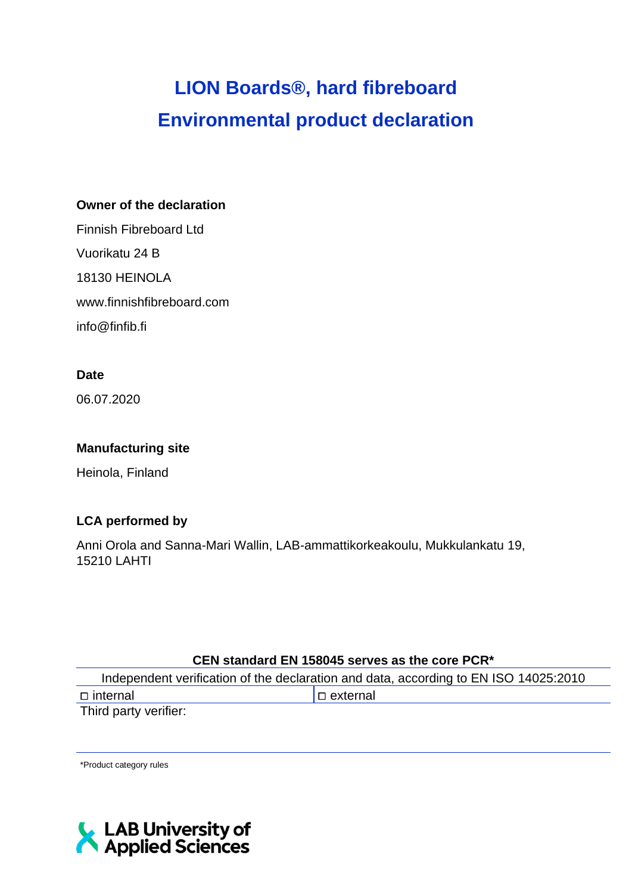# **LION Boards®, hard fibreboard Environmental product declaration**

#### **Owner of the declaration**

Finnish Fibreboard Ltd Vuorikatu 24 B 18130 HEINOLA www.finnishfibreboard.com info@finfib.fi

## **Date**

06.07.2020

## **Manufacturing site**

Heinola, Finland

## **LCA performed by**

Anni Orola and Sanna-Mari Wallin, LAB-ammattikorkeakoulu, Mukkulankatu 19, 15210 LAHTI

#### **CEN standard EN 158045 serves as the core PCR\***

| Independent verification of the declaration and data, according to EN ISO 14025:2010 |                   |  |  |  |  |  |
|--------------------------------------------------------------------------------------|-------------------|--|--|--|--|--|
| ⊟ internal                                                                           | $  \Box$ external |  |  |  |  |  |
| Third party verifier:                                                                |                   |  |  |  |  |  |

\*Product category rules

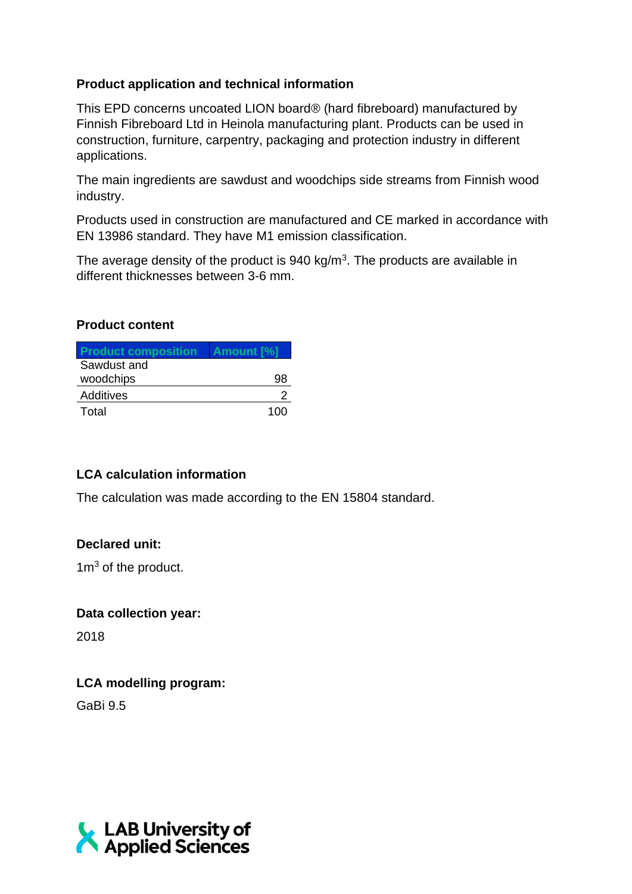## **Product application and technical information**

This EPD concerns uncoated LION board® (hard fibreboard) manufactured by Finnish Fibreboard Ltd in Heinola manufacturing plant. Products can be used in construction, furniture, carpentry, packaging and protection industry in different applications.

The main ingredients are sawdust and woodchips side streams from Finnish wood industry.

Products used in construction are manufactured and CE marked in accordance with EN 13986 standard. They have M1 emission classification.

The average density of the product is  $940 \text{ kg/m}^3$ . The products are available in different thicknesses between 3-6 mm.

#### **Product content**

| <b>Product composition</b> | <b>Amount Manual</b> |
|----------------------------|----------------------|
| Sawdust and                |                      |
| woodchips                  | uя                   |
| Additives                  |                      |
| Total                      | 1 በበ                 |

## **LCA calculation information**

The calculation was made according to the EN 15804 standard.

## **Declared unit:**

 $1m<sup>3</sup>$  of the product.

## **Data collection year:**

2018

## **LCA modelling program:**

GaBi 9.5

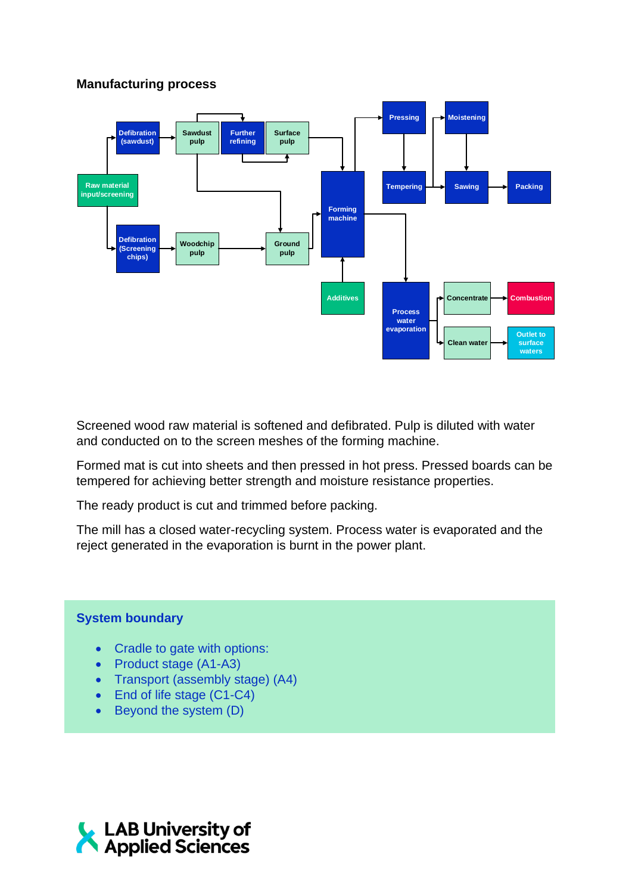## **Manufacturing process**



Screened wood raw material is softened and defibrated. Pulp is diluted with water and conducted on to the screen meshes of the forming machine.

Formed mat is cut into sheets and then pressed in hot press. Pressed boards can be tempered for achieving better strength and moisture resistance properties.

The ready product is cut and trimmed before packing.

The mill has a closed water-recycling system. Process water is evaporated and the reject generated in the evaporation is burnt in the power plant.

#### **System boundary**

- Cradle to gate with options:
- Product stage (A1-A3)
- Transport (assembly stage) (A4)
- End of life stage (C1-C4)
- Beyond the system (D)

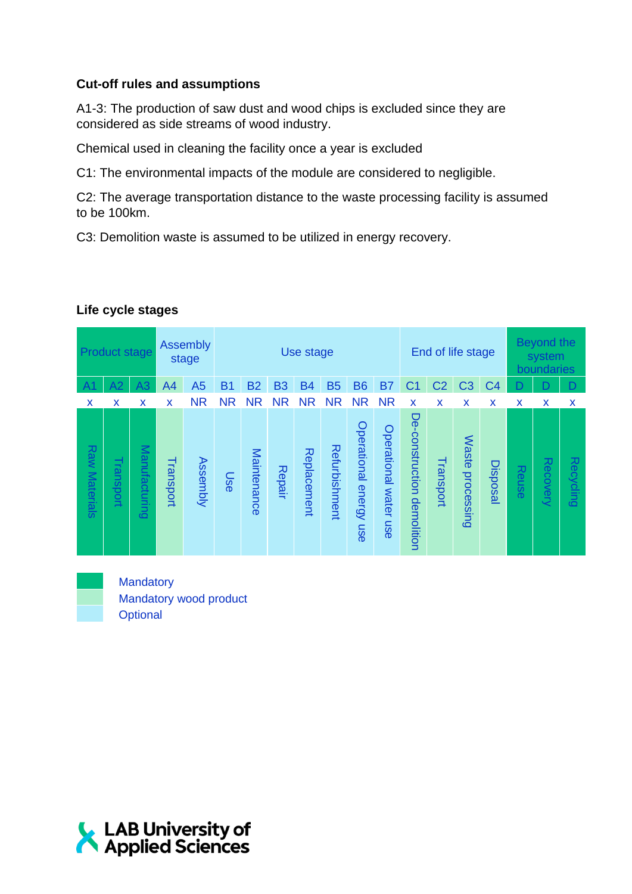## **Cut-off rules and assumptions**

A1-3: The production of saw dust and wood chips is excluded since they are considered as side streams of wood industry.

Chemical used in cleaning the facility once a year is excluded

C1: The environmental impacts of the module are considered to negligible.

C2: The average transportation distance to the waste processing facility is assumed to be 100km.

C3: Demolition waste is assumed to be utilized in energy recovery.

|                      | <b>Product stage</b> |               |           | <b>Assembly</b><br>End of life stage<br>Use stage<br>stage |           |             |           |             |               |                        |                             |                               |                |                            |                | <b>Beyond the</b><br>system<br>boundaries |          |           |
|----------------------|----------------------|---------------|-----------|------------------------------------------------------------|-----------|-------------|-----------|-------------|---------------|------------------------|-----------------------------|-------------------------------|----------------|----------------------------|----------------|-------------------------------------------|----------|-----------|
| A1                   | A2                   | A3            | A4        | A <sub>5</sub>                                             | <b>B1</b> | <b>B2</b>   | <b>B3</b> | <b>B4</b>   | <b>B5</b>     | <b>B6</b>              | <b>B7</b>                   | C1                            | C <sub>2</sub> | C <sub>3</sub>             | C <sub>4</sub> | D                                         | n        | D         |
| X                    | X                    | X             | X         | <b>NR</b>                                                  | <b>NR</b> | <b>NR</b>   | <b>NR</b> | <b>NR</b>   | <b>NR</b>     | <b>NR</b>              | <b>NR</b>                   | X                             | X              | X                          | X              | X                                         | X        | X         |
| <b>Raw Materials</b> | Transport            | Manufacturing | Transport | <b>Assembly</b>                                            | Use       | Maintenance | Repair    | Replacement | Refurbishment | Operational energy use | Operational<br>water<br>use | De-construction<br>demolition | Transport      | <b>Waste</b><br>processing | Disposal       | Reuse                                     | Recovery | Recycling |

#### **Life cycle stages**



**Mandatory** Mandatory wood product **Optional** 

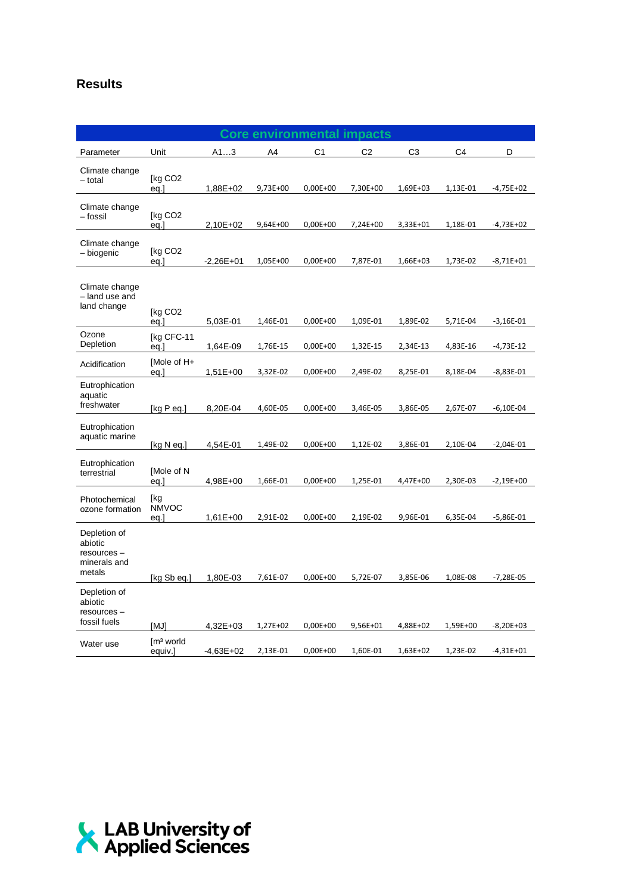## **Results**

|                                                                  |                                          |                           | <b>Core environmental</b> |                          | impacts              |                      |                      |                            |
|------------------------------------------------------------------|------------------------------------------|---------------------------|---------------------------|--------------------------|----------------------|----------------------|----------------------|----------------------------|
| Parameter                                                        | Unit                                     | A13                       | A4                        | C1                       | C <sub>2</sub>       | C <sub>3</sub>       | C4                   | D                          |
| Climate change<br>- total                                        | [kg CO <sub>2</sub><br>eq.]              | 1,88E+02                  | 9,73E+00                  | $0,00E+00$               | 7,30E+00             | 1,69E+03             | 1,13E-01             | $-4,75E+02$                |
| Climate change<br>– fossil                                       | [kg CO2<br>eq.]                          | 2,10E+02                  | 9,64E+00                  | $0,00E+00$               | 7,24E+00             | 3,33E+01             | 1,18E-01             | $-4,73E+02$                |
| Climate change<br>- biogenic                                     | [kg CO <sub>2</sub><br>eg.]              | $-2,26E+01$               | 1,05E+00                  | $0,00E+00$               | 7,87E-01             | 1,66E+03             | 1,73E-02             | $-8,71E+01$                |
| Climate change<br>- land use and<br>land change                  | [kg CO2<br>eq.]                          | 5,03E-01                  | 1,46E-01                  | $0,00E+00$               | 1,09E-01             | 1,89E-02             | 5,71E-04             | $-3,16E-01$                |
| Ozone<br>Depletion                                               | [kg CFC-11<br>eq.]                       | 1,64E-09                  | 1,76E-15                  | $0,00E+00$               | 1,32E-15             | 2,34E-13             | 4,83E-16             | $-4,73E-12$                |
| Acidification                                                    | [Mole of H+<br>eq.]                      | $1,51E+00$                | 3,32E-02                  | $0,00E+00$               | 2,49E-02             | 8,25E-01             | 8,18E-04             | $-8,83E-01$                |
| Eutrophication<br>aquatic<br>freshwater                          | [ $kg P eq.$ ]                           | 8,20E-04                  | 4,60E-05                  | $0,00E+00$               | 3,46E-05             | 3,86E-05             | 2,67E-07             | $-6,10E-04$                |
| Eutrophication<br>aquatic marine                                 | [kg N eq.]                               | 4,54E-01                  | 1,49E-02                  | $0,00E+00$               | 1,12E-02             | 3,86E-01             | 2,10E-04             | $-2,04E-01$                |
| Eutrophication<br>terrestrial                                    | [Mole of N<br>eq.]                       | 4,98E+00                  | 1,66E-01                  | $0,00E+00$               | 1,25E-01             | 4,47E+00             | 2,30E-03             | $-2,19E+00$                |
| Photochemical<br>ozone formation                                 | [kg<br><b>NMVOC</b><br>eq.]              | $1,61E+00$                | 2,91E-02                  | $0,00E+00$               | 2,19E-02             | 9,96E-01             | 6,35E-04             | $-5,86E-01$                |
| Depletion of<br>abiotic<br>resources -<br>minerals and<br>metals | [kg Sb eq.]                              | 1,80E-03                  | 7,61E-07                  | $0,00E+00$               | 5,72E-07             | 3,85E-06             | 1,08E-08             | $-7,28E-05$                |
| Depletion of<br>abiotic<br>resources -<br>fossil fuels           |                                          |                           |                           |                          |                      |                      |                      |                            |
| Water use                                                        | [MJ]<br>$\mathsf{Im}^3$ world<br>equiv.] | $4,32E+03$<br>$-4,63E+02$ | 1,27E+02<br>2,13E-01      | $0,00E+00$<br>$0,00E+00$ | 9,56E+01<br>1,60E-01 | 4,88E+02<br>1,63E+02 | 1,59E+00<br>1,23E-02 | $-8,20E+03$<br>$-4,31E+01$ |

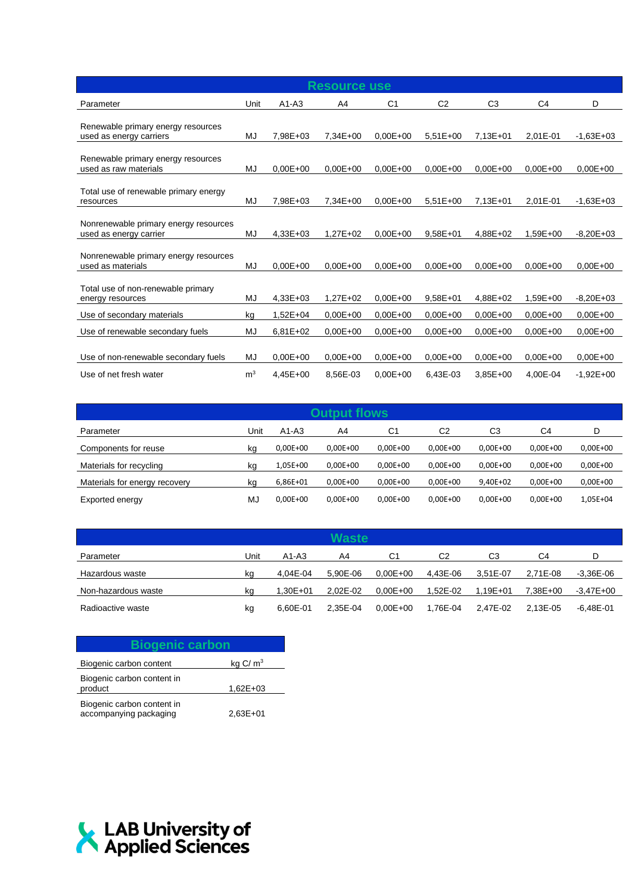| <b>Resource use</b>                                             |                |              |              |                |                |                |                |              |
|-----------------------------------------------------------------|----------------|--------------|--------------|----------------|----------------|----------------|----------------|--------------|
| Parameter                                                       | Unit           | $A1-A3$      | A4           | C <sub>1</sub> | C <sub>2</sub> | C <sub>3</sub> | C <sub>4</sub> | D            |
| Renewable primary energy resources<br>used as energy carriers   | MJ             | 7.98E+03     | $7.34E + 00$ | $0.00E + 00$   | $5.51E+00$     | $7.13E + 01$   | 2.01E-01       | $-1,63E+03$  |
| Renewable primary energy resources<br>used as raw materials     | MJ             | $0.00E + 00$ | $0,00E+00$   | $0.00E + 00$   | $0.00E + 00$   | $0.00E + 00$   | $0.00E + 00$   | $0.00E + 00$ |
| Total use of renewable primary energy<br>resources              | MJ             | 7,98E+03     | $7.34E + 00$ | $0.00E + 00$   | $5.51E+00$     | 7,13E+01       | 2.01E-01       | $-1,63E+03$  |
| Nonrenewable primary energy resources<br>used as energy carrier | MJ             | $4.33E + 03$ | $1.27E + 02$ | $0.00E + 00$   | $9.58E + 01$   | $4.88E + 02$   | $1.59E + 00$   | $-8,20E+03$  |
| Nonrenewable primary energy resources<br>used as materials      | MJ             | $0.00E + 00$ | $0.00E + 00$ | $0.00E + 00$   | $0.00E + 00$   | $0.00E + 00$   | $0.00E + 00$   | $0.00E + 00$ |
| Total use of non-renewable primary<br>energy resources          | MJ             | $4,33E+03$   | $1,27E+02$   | $0.00E + 00$   | $9,58E + 01$   | 4,88E+02       | $1,59E+00$     | $-8,20E+03$  |
| Use of secondary materials                                      | kg             | $1,52E+04$   | $0.00E + 00$ | $0.00E + 00$   | $0.00E + 00$   | $0.00E + 00$   | $0.00E + 00$   | $0.00E + 00$ |
| Use of renewable secondary fuels                                | MJ             | $6,81E+02$   | $0.00E + 00$ | $0.00E + 00$   | $0.00E + 00$   | $0.00E + 00$   | $0.00E + 00$   | $0.00E + 00$ |
| Use of non-renewable secondary fuels                            | MJ             | $0.00E + 00$ | $0.00E + 00$ | $0.00E + 00$   | $0.00E + 00$   | $0.00E + 00$   | $0.00E + 00$   | $0.00E + 00$ |
| Use of net fresh water                                          | m <sup>3</sup> | $4,45E+00$   | 8,56E-03     | $0.00E + 00$   | 6,43E-03       | $3,85E+00$     | 4,00E-04       | $-1,92E+00$  |

| Output flows                  |      |              |              |              |              |              |                |            |
|-------------------------------|------|--------------|--------------|--------------|--------------|--------------|----------------|------------|
| Parameter                     | Unit | $A1-A3$      | A4           | C1           | C2           | C3           | C <sub>4</sub> | D          |
| Components for reuse          | kg   | $0,00E+00$   | $0,00E+00$   | $0,00E+00$   | $0,00E+00$   | $0.00E + 00$ | $0,00E+00$     | $0,00E+00$ |
| Materials for recycling       | kg   | 1,05E+00     | $0.00E + 00$ | $0.00E + 00$ | $0.00E + 00$ | $0.00E + 00$ | $0.00E + 00$   | $0,00E+00$ |
| Materials for energy recovery | kg   | 6,86E+01     | $0.00E + 00$ | $0.00E + 00$ | $0.00E + 00$ | 9.40E+02     | $0.00E + 00$   | $0,00E+00$ |
| Exported energy               | MJ   | $0.00E + 00$ | $0.00E + 00$ | $0.00E + 00$ | $0.00E + 00$ | $0.00E + 00$ | $0,00E+00$     | 1,05E+04   |

| Waste               |      |          |          |              |          |              |          |               |
|---------------------|------|----------|----------|--------------|----------|--------------|----------|---------------|
| Parameter           | Unit | $A1-A3$  | A4       | C1           | C2       | CЗ           | C4       | D             |
| Hazardous waste     | ka   | 4.04E-04 | 5.90E-06 | $0.00E + 00$ | 4.43E-06 | 3.51E-07     | 2.71E-08 | $-3.36E - 06$ |
| Non-hazardous waste | ka   | 1.30E+01 | 2.02E-02 | $0.00E + 00$ | 1.52E-02 | $1.19E + 01$ | 7.38E+00 | -3,47E+00     |
| Radioactive waste   | kg   | 6.60E-01 | 2.35E-04 | $0.00E + 00$ | 1.76E-04 | 2.47E-02     | 2.13E-05 | $-6.48E - 01$ |

| <b>Biogenic carbon</b>                               |              |
|------------------------------------------------------|--------------|
| Biogenic carbon content                              | kg $C/m3$    |
| Biogenic carbon content in<br>product                | $1.62E + 03$ |
| Biogenic carbon content in<br>accompanying packaging | $2.63E + 01$ |